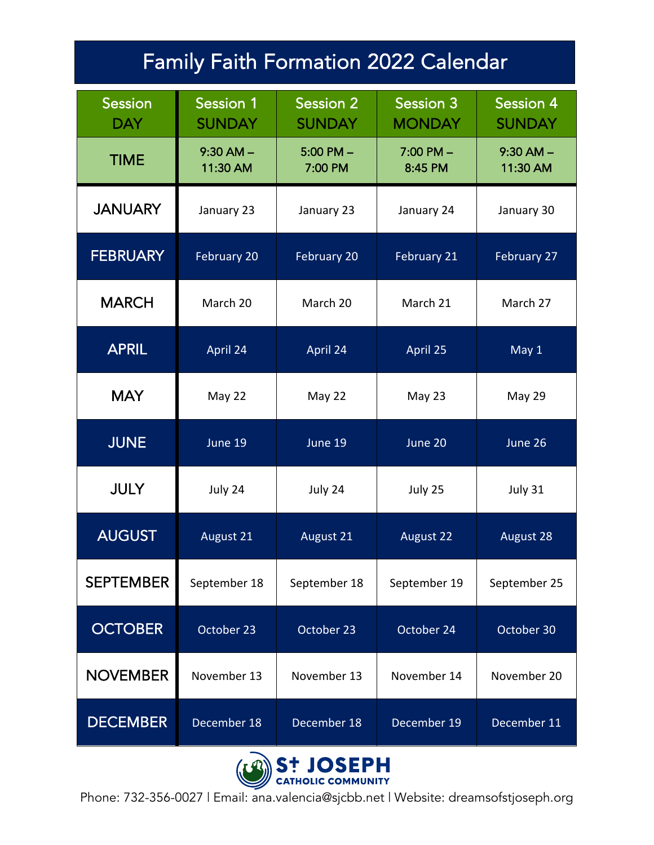| <b>Family Faith Formation 2022 Calendar</b> |                                   |                            |                                   |                                   |  |  |
|---------------------------------------------|-----------------------------------|----------------------------|-----------------------------------|-----------------------------------|--|--|
| <b>Session</b><br><b>DAY</b>                | <b>Session 1</b><br><b>SUNDAY</b> | Session 2<br><b>SUNDAY</b> | <b>Session 3</b><br><b>MONDAY</b> | <b>Session 4</b><br><b>SUNDAY</b> |  |  |
| <b>TIME</b>                                 | $9:30$ AM $-$<br>11:30 AM         | $5:00$ PM $-$<br>7:00 PM   | $7:00$ PM $-$<br>8:45 PM          | $9:30$ AM $-$<br>11:30 AM         |  |  |
| <b>JANUARY</b>                              | January 23                        | January 23                 | January 24                        | January 30                        |  |  |
| <b>FEBRUARY</b>                             | February 20                       | <b>February 20</b>         | February 21                       | February 27                       |  |  |
| <b>MARCH</b>                                | March 20                          | March 20                   | March 21                          | March 27                          |  |  |
| <b>APRIL</b>                                | April 24                          | April 24                   | April 25                          | May 1                             |  |  |
| <b>MAY</b>                                  | May 22                            | May 22                     | May 23                            | <b>May 29</b>                     |  |  |
| <b>JUNE</b>                                 | June 19                           | June 19                    | June 20                           | June 26                           |  |  |
| <b>JULY</b>                                 | July 24                           | July 24                    | July 25                           | July 31                           |  |  |
| <b>AUGUST</b>                               | August 21                         | August 21                  | August 22                         | August 28                         |  |  |
| <b>SEPTEMBER</b>                            | September 18                      | September 18               | September 19                      | September 25                      |  |  |
| <b>OCTOBER</b>                              | October 23                        | October 23                 | October 24                        | October 30                        |  |  |
| <b>NOVEMBER</b>                             | November 13                       | November 13                | November 14                       | November 20                       |  |  |
| <b>DECEMBER</b>                             | December 18                       | December 18                | December 19                       | December 11                       |  |  |



Phone: 732-356-0027 | Email: ana.valencia@sjcbb.net | Website: dreamsofstjoseph.org